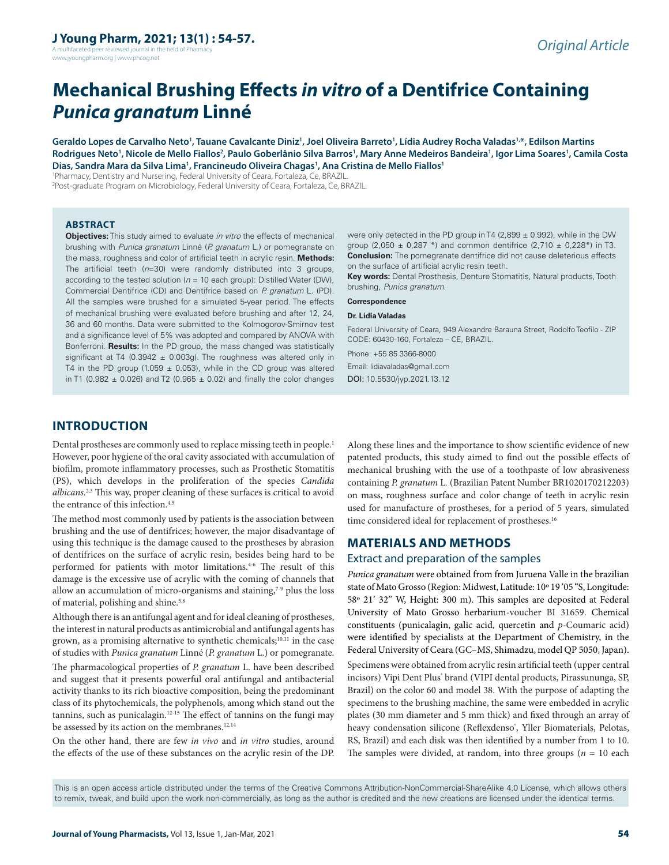A multifaceted peer reviewed journal in the field of Pharm www.jyoungpharm.org | www.phcog.net

# **Mechanical Brushing Effects** *in vitro* **of a Dentifrice Containing**  *Punica granatum* **Linné**

Geraldo Lopes de Carvalho Neto<sup>1</sup>, Tauane Cavalcante Diniz<sup>1</sup>, Joel Oliveira Barreto<sup>1</sup>, Lídia Audrey Rocha Valadas<sup>1,\*</sup>, Edilson Martins **Rodrigues Neto1 , Nicole de Mello Fiallos2 , Paulo Goberlânio Silva Barros1 , Mary Anne Medeiros Bandeira1 , Igor Lima Soares1 , Camila Costa Dias, Sandra Mara da Silva Lima1 , Francineudo Oliveira Chagas1 , Ana Cristina de Mello Fiallos1**

1 Pharmacy, Dentistry and Nursering, Federal University of Ceara, Fortaleza, Ce, BRAZIL. 2 Post-graduate Program on Microbiology, Federal University of Ceara, Fortaleza, Ce, BRAZIL.

#### **ABSTRACT**

**Objectives:** This study aimed to evaluate in vitro the effects of mechanical brushing with *Punica granatum* Linné (*P. granatum* L.) or pomegranate on the mass, roughness and color of artificial teeth in acrylic resin. **Methods:**  The artificial teeth (*n*=30) were randomly distributed into 3 groups, according to the tested solution (*n* = 10 each group): Distilled Water (DW), Commercial Dentifrice (CD) and Dentifrice based on *P. granatum* L. (PD). All the samples were brushed for a simulated 5-year period. The effects of mechanical brushing were evaluated before brushing and after 12, 24, 36 and 60 months. Data were submitted to the Kolmogorov-Smirnov test and a significance level of 5% was adopted and compared by ANOVA with Bonferroni. **Results:** In the PD group, the mass changed was statistically significant at T4 (0.3942  $\pm$  0.003g). The roughness was altered only in T4 in the PD group (1.059  $\pm$  0.053), while in the CD group was altered in T1 (0.982  $\pm$  0.026) and T2 (0.965  $\pm$  0.02) and finally the color changes were only detected in the PD group in T4 (2,899  $\pm$  0.992), while in the DW group (2,050  $\pm$  0,287  $*$ ) and common dentifrice (2,710  $\pm$  0,228 $*$ ) in T3. **Conclusion:** The pomegranate dentifrice did not cause deleterious effects on the surface of artificial acrylic resin teeth.

**Key words:** Dental Prosthesis, Denture Stomatitis, Natural products, Tooth brushing, *Punica granatum*.

#### **Correspondence**

#### **Dr. Lídia Valadas**

Federal University of Ceara, 949 Alexandre Barauna Street, Rodolfo Teofilo - ZIP CODE: 60430-160, Fortaleza – CE, BRAZIL.

Phone: +55 85 3366-8000 Email: lidiavaladas@gmail.com DOI: 10.5530/jyp.2021.13.12

## **INTRODUCTION**

Dental prostheses are commonly used to replace missing teeth in people.1 However, poor hygiene of the oral cavity associated with accumulation of biofilm, promote inflammatory processes, such as Prosthetic Stomatitis (PS), which develops in the proliferation of the species *Candida albicans.*2,3 This way, proper cleaning of these surfaces is critical to avoid the entrance of this infection.<sup>4,5</sup>

The method most commonly used by patients is the association between brushing and the use of dentifrices; however, the major disadvantage of using this technique is the damage caused to the prostheses by abrasion of dentifrices on the surface of acrylic resin, besides being hard to be performed for patients with motor limitations.4-6 The result of this damage is the excessive use of acrylic with the coming of channels that allow an accumulation of micro-organisms and staining, $7-9$  plus the loss of material, polishing and shine.<sup>5,8</sup>

Although there is an antifungal agent and for ideal cleaning of prostheses, the interest in natural products as antimicrobial and antifungal agents has grown, as a promising alternative to synthetic chemicals;<sup>10,11</sup> in the case of studies with *Punica granatum* Linné (*P. granatum* L.) or pomegranate. The pharmacological properties of *P. granatum* L. have been described and suggest that it presents powerful oral antifungal and antibacterial activity thanks to its rich bioactive composition, being the predominant class of its phytochemicals, the polyphenols, among which stand out the tannins, such as punicalagin.<sup>12-15</sup> The effect of tannins on the fungi may be assessed by its action on the membranes.<sup>12,14</sup>

On the other hand, there are few *in vivo* and *in vitro* studies, around the effects of the use of these substances on the acrylic resin of the DP.

Along these lines and the importance to show scientific evidence of new patented products, this study aimed to find out the possible effects of mechanical brushing with the use of a toothpaste of low abrasiveness containing *P. granatum* L*.* (Brazilian Patent Number BR1020170212203) on mass, roughness surface and color change of teeth in acrylic resin used for manufacture of prostheses, for a period of 5 years, simulated time considered ideal for replacement of prostheses.<sup>16</sup>

## **MATERIALS AND METHODS**

#### Extract and preparation of the samples

*Punica granatum* were obtained from from Juruena Valle in the brazilian state of Mato Grosso (Region: Midwest, Latitude: 10º 19 '05 "S, Longitude: 58º 21' 32" W, Height: 300 m). This samples are deposited at Federal University of Mato Grosso herbarium-voucher BI 31659. Chemical constituents (punicalagin, galic acid, quercetin and *p*-Coumaric acid) were identified by specialists at the Department of Chemistry, in the Federal University of Ceara (GC–MS, Shimadzu, model QP 5050, Japan).

Specimens were obtained from acrylic resin artificial teeth (upper central incisors) Vipi Dent Plus' brand (VIPI dental products, Pirassununga, SP, Brazil) on the color 60 and model 38. With the purpose of adapting the specimens to the brushing machine, the same were embedded in acrylic plates (30 mm diameter and 5 mm thick) and fixed through an array of heavy condensation silicone (Reflexdenso', Yller Biomaterials, Pelotas, RS, Brazil) and each disk was then identified by a number from 1 to 10. The samples were divided, at random, into three groups  $(n = 10 \text{ each})$ 

This is an open access article distributed under the terms of the Creative Commons Attribution-NonCommercial-ShareAlike 4.0 License, which allows others to remix, tweak, and build upon the work non-commercially, as long as the author is credited and the new creations are licensed under the identical terms.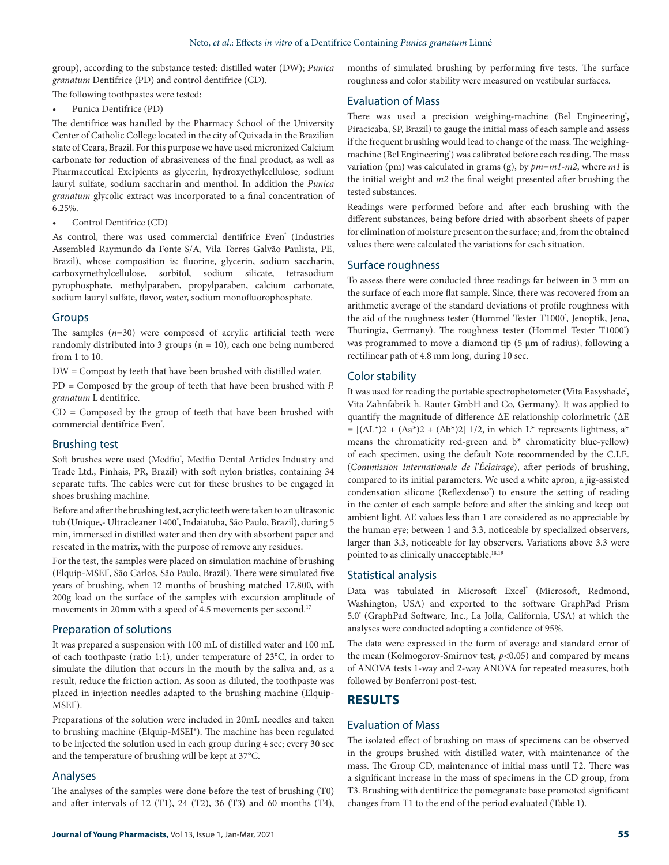group), according to the substance tested: distilled water (DW); *Punica granatum* Dentifrice (PD) and control dentifrice (CD).

The following toothpastes were tested:

Punica Dentifrice (PD)

The dentifrice was handled by the Pharmacy School of the University Center of Catholic College located in the city of Quixada in the Brazilian state of Ceara, Brazil. For this purpose we have used micronized Calcium carbonate for reduction of abrasiveness of the final product, as well as Pharmaceutical Excipients as glycerin, hydroxyethylcellulose, sodium lauryl sulfate, sodium saccharin and menthol. In addition the *Punica granatum* glycolic extract was incorporated to a final concentration of 6.25%.

• Control Dentifrice (CD)

As control, there was used commercial dentifrice Even<sup>®</sup> (Industries Assembled Raymundo da Fonte S/A, Vila Torres Galvão Paulista, PE, Brazil), whose composition is: fluorine, glycerin, sodium saccharin, carboxymethylcellulose, sorbitol, sodium silicate, tetrasodium pyrophosphate, methylparaben, propylparaben, calcium carbonate, sodium lauryl sulfate, flavor, water, sodium monofluorophosphate.

#### Groups

The samples  $(n=30)$  were composed of acrylic artificial teeth were randomly distributed into 3 groups ( $n = 10$ ), each one being numbered from 1 to 10.

DW = Compost by teeth that have been brushed with distilled water.

PD = Composed by the group of teeth that have been brushed with *P. granatum* L dentifrice*.*

 $CD = Composed$  by the group of teeth that have been brushed with commercial dentifrice Even<sup>\*</sup>.

## Brushing test

Soft brushes were used (Medfio<sup>\*</sup>, Medfio Dental Articles Industry and Trade Ltd., Pinhais, PR, Brazil) with soft nylon bristles, containing 34 separate tufts. The cables were cut for these brushes to be engaged in shoes brushing machine.

Before and after the brushing test, acrylic teeth were taken to an ultrasonic tub (Unique,- Ultracleaner 1400°, Indaiatuba, São Paulo, Brazil), during 5 min, immersed in distilled water and then dry with absorbent paper and reseated in the matrix, with the purpose of remove any residues.

For the test, the samples were placed on simulation machine of brushing (Elquip-MSEI<sup>\*</sup>, São Carlos, São Paulo, Brazil). There were simulated five years of brushing, when 12 months of brushing matched 17,800, with 200g load on the surface of the samples with excursion amplitude of movements in 20mm with a speed of 4.5 movements per second.<sup>17</sup>

## Preparation of solutions

It was prepared a suspension with 100 mL of distilled water and 100 mL of each toothpaste (ratio 1:1), under temperature of 23°C, in order to simulate the dilution that occurs in the mouth by the saliva and, as a result, reduce the friction action. As soon as diluted, the toothpaste was placed in injection needles adapted to the brushing machine (Elquip-MSEI°).

Preparations of the solution were included in 20mL needles and taken to brushing machine (Elquip-MSEI®). The machine has been regulated to be injected the solution used in each group during 4 sec; every 30 sec and the temperature of brushing will be kept at 37°C.

#### Analyses

The analyses of the samples were done before the test of brushing (T0) and after intervals of 12 (T1), 24 (T2), 36 (T3) and 60 months (T4), months of simulated brushing by performing five tests. The surface roughness and color stability were measured on vestibular surfaces.

## Evaluation of Mass

There was used a precision weighing-machine (Bel Engineering<sup>\*</sup>, Piracicaba, SP, Brazil) to gauge the initial mass of each sample and assess if the frequent brushing would lead to change of the mass. The weighingmachine (Bel Engineering<sup>®</sup>) was calibrated before each reading. The mass variation (pm) was calculated in grams (g), by *pm=m1-m2*, where *m1* is the initial weight and *m2* the final weight presented after brushing the tested substances.

Readings were performed before and after each brushing with the different substances, being before dried with absorbent sheets of paper for elimination of moisture present on the surface; and, from the obtained values there were calculated the variations for each situation.

## Surface roughness

To assess there were conducted three readings far between in 3 mm on the surface of each more flat sample. Since, there was recovered from an arithmetic average of the standard deviations of profile roughness with the aid of the roughness tester (Hommel Tester T1000® , Jenoptik, Jena, Thuringia, Germany). The roughness tester (Hommel Tester T1000°) was programmed to move a diamond tip (5 μm of radius), following a rectilinear path of 4.8 mm long, during 10 sec.

## Color stability

It was used for reading the portable spectrophotometer (Vita Easyshade<sup>®</sup>, Vita Zahnfabrik h. Rauter GmbH and Co, Germany). It was applied to quantify the magnitude of difference ΔE relationship colorimetric (ΔE  $= [(\Delta L^*)2 + (\Delta a^*)2 + (\Delta b^*)2]$  1/2, in which L<sup>\*</sup> represents lightness,  $a^*$ means the chromaticity red-green and b\* chromaticity blue-yellow) of each specimen, using the default Note recommended by the C.I.E. (*Commission Internationale de l'Éclairage*), after periods of brushing, compared to its initial parameters. We used a white apron, a jig-assisted condensation silicone (Reflexdenso<sup>\*</sup>) to ensure the setting of reading in the center of each sample before and after the sinking and keep out ambient light. ΔE values less than 1 are considered as no appreciable by the human eye; between 1 and 3.3, noticeable by specialized observers, larger than 3.3, noticeable for lay observers. Variations above 3.3 were pointed to as clinically unacceptable.<sup>18,19</sup>

## Statistical analysis

Data was tabulated in Microsoft Excel<sup>®</sup> (Microsoft, Redmond, Washington, USA) and exported to the software GraphPad Prism 5.0® (GraphPad Software, Inc., La Jolla, California, USA) at which the analyses were conducted adopting a confidence of 95%.

The data were expressed in the form of average and standard error of the mean (Kolmogorov-Smirnov test,  $p < 0.05$ ) and compared by means of ANOVA tests 1-way and 2-way ANOVA for repeated measures, both followed by Bonferroni post-test.

# **RESULTS**

## Evaluation of Mass

The isolated effect of brushing on mass of specimens can be observed in the groups brushed with distilled water, with maintenance of the mass. The Group CD, maintenance of initial mass until T2. There was a significant increase in the mass of specimens in the CD group, from T3. Brushing with dentifrice the pomegranate base promoted significant changes from T1 to the end of the period evaluated (Table 1).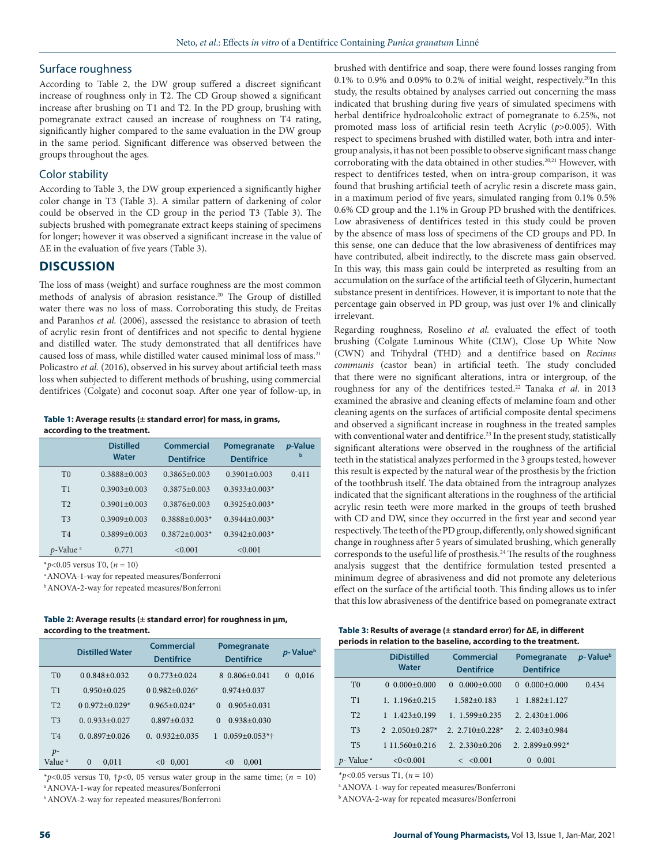#### Surface roughness

According to Table 2, the DW group suffered a discreet significant increase of roughness only in T2. The CD Group showed a significant increase after brushing on T1 and T2. In the PD group, brushing with pomegranate extract caused an increase of roughness on T4 rating, significantly higher compared to the same evaluation in the DW group in the same period. Significant difference was observed between the groups throughout the ages.

#### Color stability

According to Table 3, the DW group experienced a significantly higher color change in T3 (Table 3). A similar pattern of darkening of color could be observed in the CD group in the period T3 (Table 3). The subjects brushed with pomegranate extract keeps staining of specimens for longer; however it was observed a significant increase in the value of ΔE in the evaluation of five years (Table 3).

#### **DISCUSSION**

The loss of mass (weight) and surface roughness are the most common methods of analysis of abrasion resistance.<sup>20</sup> The Group of distilled water there was no loss of mass. Corroborating this study, de Freitas and Paranhos *et al.* (2006), assessed the resistance to abrasion of teeth of acrylic resin front of dentifrices and not specific to dental hygiene and distilled water. The study demonstrated that all dentifrices have caused loss of mass, while distilled water caused minimal loss of mass.21 Policastro *et al.* (2016), observed in his survey about artificial teeth mass loss when subjected to different methods of brushing, using commercial dentifrices (Colgate) and coconut soap. After one year of follow-up, in

**Table 1: Average results (± standard error) for mass, in grams, according to the treatment.**

|                              | <b>Distilled</b><br><b>Water</b> | <b>Commercial</b><br><b>Dentifrice</b> | Pomegranate<br><b>Dentifrice</b> | <i>p</i> -Value<br>b |
|------------------------------|----------------------------------|----------------------------------------|----------------------------------|----------------------|
| T <sub>0</sub>               | $0.3888 + 0.003$                 | $0.3865+0.003$                         | $0.3901 + 0.003$                 | 0.411                |
| T1                           | $0.3903 + 0.003$                 | $0.3875 + 0.003$                       | $0.3933 \pm 0.003*$              |                      |
| T <sub>2</sub>               | $0.3901 + 0.003$                 | $0.3876 + 0.003$                       | $0.3925+0.003*$                  |                      |
| T <sub>3</sub>               | $0.3909 + 0.003$                 | $0.3888 + 0.003*$                      | $0.3944 + 0.003*$                |                      |
| T <sub>4</sub>               | $0.3899 + 0.003$                 | $0.3872 + 0.003*$                      | $0.3942 + 0.003*$                |                      |
| <i>p</i> -Value <sup>a</sup> | 0.771                            | < 0.001                                | < 0.001                          |                      |

\**p*<0.05 versus T0, (*n* = 10)

a ANOVA-1-way for repeated measures/Bonferroni

**b** ANOVA-2-way for repeated measures/Bonferroni

#### **Table 2: Average results (± standard error) for roughness in µm, according to the treatment.**

|                          | <b>Distilled Water</b> | Commercial<br><b>Dentifrice</b> | Pomegranate<br><b>Dentifrice</b> | p-Value <sup>b</sup> |
|--------------------------|------------------------|---------------------------------|----------------------------------|----------------------|
| T <sub>0</sub>           | $0.0.848 + 0.032$      | $0.0773 + 0.024$                | $80.806 \pm 0.041$               | 0,016<br>$\Omega$    |
| T1                       | $0.950 + 0.025$        | $0.982 + 0.026*$                | $0.974 + 0.037$                  |                      |
| T <sub>2</sub>           | $0.0.972 + 0.029*$     | $0.965 + 0.024*$                | $0.905 + 0.031$<br>$\Omega$      |                      |
| T <sub>3</sub>           | $0.0.933 + 0.027$      | $0.897+0.032$                   | $0.938 + 0.030$<br>$\Omega$      |                      |
| T <sub>4</sub>           | $0.0.897 + 0.026$      | $0.0.932+0.035$                 | $0.059 \pm 0.053$ *†<br>1        |                      |
| p-<br>Value <sup>a</sup> | $\Omega$<br>0.011      | 0.001<br>< 0                    | 0,001<br>< 0                     |                      |

\**p*<0.05 versus T0, †*p*<0, 05 versus water group in the same time; (*n* = 10) a ANOVA-1-way for repeated measures/Bonferroni

**b** ANOVA-2-way for repeated measures/Bonferroni

brushed with dentifrice and soap, there were found losses ranging from 0.1% to 0.9% and 0.09% to 0.2% of initial weight, respectively.<sup>20</sup>In this study, the results obtained by analyses carried out concerning the mass indicated that brushing during five years of simulated specimens with herbal dentifrice hydroalcoholic extract of pomegranate to 6.25%, not promoted mass loss of artificial resin teeth Acrylic (*p*>0.005). With respect to specimens brushed with distilled water, both intra and intergroup analysis, it has not been possible to observe significant mass change corroborating with the data obtained in other studies.<sup>20,21</sup> However, with respect to dentifrices tested, when on intra-group comparison, it was found that brushing artificial teeth of acrylic resin a discrete mass gain, in a maximum period of five years, simulated ranging from 0.1% 0.5% 0.6% CD group and the 1.1% in Group PD brushed with the dentifrices. Low abrasiveness of dentifrices tested in this study could be proven by the absence of mass loss of specimens of the CD groups and PD. In this sense, one can deduce that the low abrasiveness of dentifrices may have contributed, albeit indirectly, to the discrete mass gain observed. In this way, this mass gain could be interpreted as resulting from an accumulation on the surface of the artificial teeth of Glycerin, humectant substance present in dentifrices. However, it is important to note that the percentage gain observed in PD group, was just over 1% and clinically irrelevant.

Regarding roughness, Roselino *et al.* evaluated the effect of tooth brushing (Colgate Luminous White (CLW), Close Up White Now (CWN) and Trihydral (THD) and a dentifrice based on *Recinus communis* (castor bean) in artificial teeth. The study concluded that there were no significant alterations, intra or intergroup, of the roughness for any of the dentifrices tested.22 Tanaka *et al*. in 2013 examined the abrasive and cleaning effects of melamine foam and other cleaning agents on the surfaces of artificial composite dental specimens and observed a significant increase in roughness in the treated samples with conventional water and dentifrice.<sup>23</sup> In the present study, statistically significant alterations were observed in the roughness of the artificial teeth in the statistical analyzes performed in the 3 groups tested, however this result is expected by the natural wear of the prosthesis by the friction of the toothbrush itself. The data obtained from the intragroup analyzes indicated that the significant alterations in the roughness of the artificial acrylic resin teeth were more marked in the groups of teeth brushed with CD and DW, since they occurred in the first year and second year respectively. The teeth of the PD group, differently, only showed significant change in roughness after 5 years of simulated brushing, which generally corresponds to the useful life of prosthesis.<sup>24</sup> The results of the roughness analysis suggest that the dentifrice formulation tested presented a minimum degree of abrasiveness and did not promote any deleterious effect on the surface of the artificial tooth. This finding allows us to infer that this low abrasiveness of the dentifrice based on pomegranate extract

| Table 3: Results of average ( $\pm$ standard error) for $\Delta E$ , in different |
|-----------------------------------------------------------------------------------|
| periods in relation to the baseline, according to the treatment.                  |

|                            | <b>DiDistilled</b><br><b>Water</b> | <b>Commercial</b><br><b>Dentifrice</b> | Pomegranate<br><b>Dentifrice</b> | p-Value <sup>b</sup> |
|----------------------------|------------------------------------|----------------------------------------|----------------------------------|----------------------|
| T <sub>0</sub>             | $0.000+0.000$                      | $0.000+0.000$<br>$\Omega$              | $0.000+0.000$<br>$\Omega$        | 0.434                |
| T1                         | $1.1.196 \pm 0.215$                | $1.582+0.183$                          | $1.882 + 1.127$                  |                      |
| T <sub>2</sub>             | $1.423 + 0.199$                    | $1.1.599 + 0.235$                      | 2. $2.430 \pm 1.006$             |                      |
| T <sub>3</sub>             | $2.050+0.287*$                     | 2. $2.710+0.228*$                      | $2.2.403+0.984$                  |                      |
| T <sub>5</sub>             | 1 11.560 + 0.216                   | $2.2330+0.206$                         | 2. $2.899 \pm 0.992$ *           |                      |
| Value <sup>a</sup><br>$p-$ | <0<0.001                           | < 0.001                                | 0.001<br>$\Omega$                |                      |

\**p*<0.05 versus T1, (*n* = 10)

a ANOVA-1-way for repeated measures/Bonferroni

**b** ANOVA-2-way for repeated measures/Bonferroni